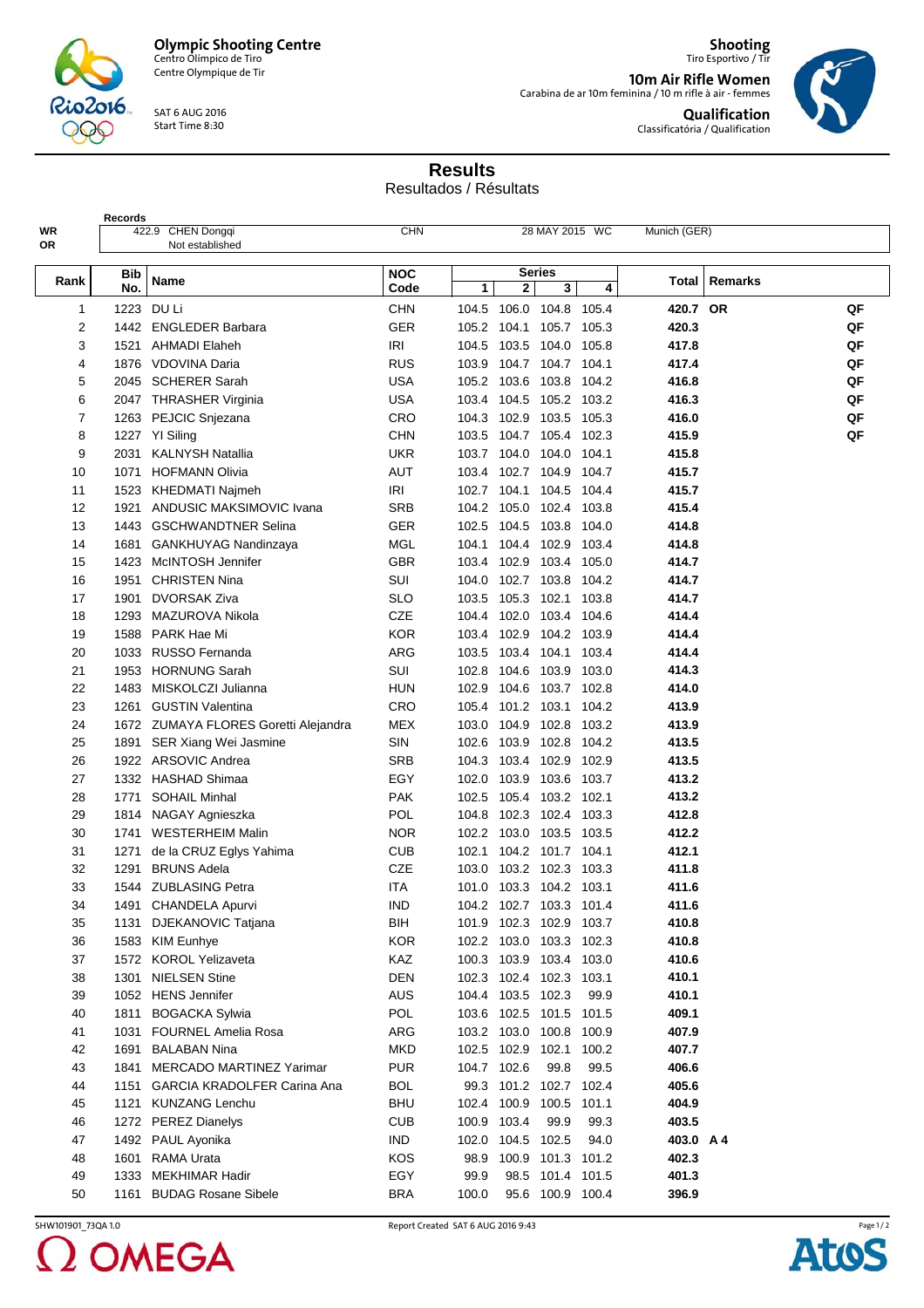

Centre Olympique de Tir

SAT 6 AUG 2016 Start Time 8:30

**Shooting** Tiro Esportivo / Tir **10m Air Rifle Women**<br>Carabina de ar 10m feminina / 10 m rifle à air - femmes **Qualification**

Classificatória / Qualification



**Results**

Resultados / Résultats

| <b>Records</b> |            |                                      |                    |             |                         |                    |       |              |         |    |
|----------------|------------|--------------------------------------|--------------------|-------------|-------------------------|--------------------|-------|--------------|---------|----|
| WR<br>0R       |            | 422.9 CHEN Dongqi<br>Not established | <b>CHN</b>         |             |                         | 28 MAY 2015 WC     |       | Munich (GER) |         |    |
|                |            |                                      |                    |             |                         |                    |       |              |         |    |
| Rank           | Bib<br>No. | Name                                 | <b>NOC</b><br>Code | 1           | 2                       | <b>Series</b><br>3 | 4     | Total        | Remarks |    |
| 1              | 1223       | DU Li                                | <b>CHN</b>         |             | 104.5 106.0 104.8 105.4 |                    |       | 420.7 OR     |         | QF |
| 2              |            | 1442 ENGLEDER Barbara                | <b>GER</b>         |             | 105.2 104.1             | 105.7 105.3        |       | 420.3        |         | QF |
| 3              | 1521       | <b>AHMADI Elaheh</b>                 | <b>IRI</b>         | 104.5       | 103.5 104.0 105.8       |                    |       | 417.8        |         | QF |
| 4              |            | 1876 VDOVINA Daria                   | <b>RUS</b>         |             | 103.9 104.7 104.7 104.1 |                    |       | 417.4        |         | QF |
| 5              |            | 2045 SCHERER Sarah                   | <b>USA</b>         |             | 105.2 103.6 103.8 104.2 |                    |       | 416.8        |         | QF |
| 6              |            | 2047 THRASHER Virginia               | USA                |             | 103.4 104.5 105.2 103.2 |                    |       | 416.3        |         | QF |
| 7              |            | 1263 PEJCIC Snjezana                 | CRO                |             | 104.3 102.9 103.5 105.3 |                    |       | 416.0        |         | QF |
| 8              |            | 1227 YI Siling                       | CHN                |             | 103.5 104.7 105.4 102.3 |                    |       | 415.9        |         | QF |
| 9              | 2031       | <b>KALNYSH Natallia</b>              | UKR                |             | 103.7 104.0 104.0 104.1 |                    |       | 415.8        |         |    |
| 10             | 1071       | <b>HOFMANN Olivia</b>                | <b>AUT</b>         |             | 103.4 102.7 104.9 104.7 |                    |       | 415.7        |         |    |
| 11             |            | 1523 KHEDMATI Najmeh                 | IRI                |             | 102.7 104.1 104.5 104.4 |                    |       | 415.7        |         |    |
| 12             | 1921       | ANDUSIC MAKSIMOVIC Ivana             | <b>SRB</b>         |             | 104.2 105.0 102.4       |                    | 103.8 | 415.4        |         |    |
| 13             |            | 1443 GSCHWANDTNER Selina             | GER                | 102.5       | 104.5 103.8 104.0       |                    |       | 414.8        |         |    |
| 14             | 1681       | <b>GANKHUYAG Nandinzaya</b>          | MGL                |             | 104.1 104.4 102.9 103.4 |                    |       | 414.8        |         |    |
| 15             | 1423       | McINTOSH Jennifer                    | GBR                |             | 103.4 102.9 103.4       |                    | 105.0 | 414.7        |         |    |
| 16             | 1951       | <b>CHRISTEN Nina</b>                 | SUI                |             | 104.0 102.7 103.8       |                    | 104.2 | 414.7        |         |    |
| 17             | 1901       | <b>DVORSAK Ziva</b>                  | SLO                | 103.5       | 105.3 102.1 103.8       |                    |       | 414.7        |         |    |
| 18             | 1293       | MAZUROVA Nikola                      | CZE                |             | 104.4 102.0 103.4       |                    | 104.6 | 414.4        |         |    |
| 19             | 1588       | PARK Hae Mi                          | <b>KOR</b>         |             | 103.4 102.9 104.2 103.9 |                    |       | 414.4        |         |    |
| 20             | 1033       | <b>RUSSO Fernanda</b>                | ARG                | 103.5       | 103.4 104.1 103.4       |                    |       | 414.4        |         |    |
| 21             | 1953       | <b>HORNUNG Sarah</b>                 | SUI                | 102.8       | 104.6 103.9 103.0       |                    |       | 414.3        |         |    |
| 22             | 1483       | MISKOLCZI Julianna                   | <b>HUN</b>         |             | 102.9 104.6 103.7 102.8 |                    |       | 414.0        |         |    |
| 23             | 1261       | <b>GUSTIN Valentina</b>              | CRO                |             | 105.4 101.2 103.1 104.2 |                    |       | 413.9        |         |    |
| 24             |            | 1672 ZUMAYA FLORES Goretti Alejandra | <b>MEX</b>         |             | 103.0 104.9 102.8 103.2 |                    |       | 413.9        |         |    |
| 25             | 1891       | SER Xiang Wei Jasmine                | SIN                |             | 102.6 103.9 102.8 104.2 |                    |       | 413.5        |         |    |
| 26             |            | 1922 ARSOVIC Andrea                  | <b>SRB</b>         |             | 104.3 103.4 102.9 102.9 |                    |       | 413.5        |         |    |
| 27             |            | 1332 HASHAD Shimaa                   | EGY                | 102.0       | 103.9 103.6 103.7       |                    |       | 413.2        |         |    |
| 28             | 1771       | <b>SOHAIL Minhal</b>                 | <b>PAK</b>         | 102.5       | 105.4 103.2 102.1       |                    |       | 413.2        |         |    |
| 29             |            | 1814 NAGAY Agnieszka                 | POL                | 104.8       | 102.3 102.4 103.3       |                    |       | 412.8        |         |    |
| 30             |            | 1741 WESTERHEIM Malin                | <b>NOR</b>         |             | 102.2 103.0 103.5 103.5 |                    |       | 412.2        |         |    |
| 31             | 1271       | de la CRUZ Eglys Yahima              | <b>CUB</b>         |             | 102.1 104.2 101.7 104.1 |                    |       | 412.1        |         |    |
| 32             | 1291       | <b>BRUNS Adela</b>                   | <b>CZE</b>         |             | 103.0 103.2 102.3 103.3 |                    |       | 411.8        |         |    |
| 33             |            | 1544 ZUBLASING Petra                 | ITA                |             | 101.0 103.3 104.2 103.1 |                    |       | 411.6        |         |    |
| 34             |            | 1491 CHANDELA Apurvi                 | <b>IND</b>         |             | 104.2 102.7 103.3 101.4 |                    |       | 411.6        |         |    |
| 35             |            | 1131 DJEKANOVIC Tatjana              | BIH                |             | 101.9 102.3 102.9 103.7 |                    |       | 410.8        |         |    |
| 36             |            | 1583 KIM Eunhye                      | <b>KOR</b>         |             | 102.2 103.0 103.3 102.3 |                    |       | 410.8        |         |    |
| 37             |            | 1572 KOROL Yelizaveta                | KAZ                |             | 100.3 103.9 103.4 103.0 |                    |       | 410.6        |         |    |
| 38             | 1301       | <b>NIELSEN Stine</b>                 | <b>DEN</b>         |             | 102.3 102.4 102.3 103.1 |                    |       | 410.1        |         |    |
| 39             |            | 1052 HENS Jennifer                   | <b>AUS</b>         |             | 104.4 103.5 102.3       |                    | 99.9  | 410.1        |         |    |
| 40             | 1811       | <b>BOGACKA Sylwia</b>                | <b>POL</b>         |             | 103.6 102.5 101.5 101.5 |                    |       | 409.1        |         |    |
| 41             |            | 1031 FOURNEL Amelia Rosa             | ARG                |             | 103.2 103.0 100.8 100.9 |                    |       | 407.9        |         |    |
| 42             | 1691       | <b>BALABAN Nina</b>                  | <b>MKD</b>         |             | 102.5 102.9 102.1 100.2 |                    |       | 407.7        |         |    |
| 43             | 1841       | <b>MERCADO MARTINEZ Yarimar</b>      | <b>PUR</b>         |             | 104.7 102.6             | 99.8               | 99.5  | 406.6        |         |    |
| 44             |            | 1151 GARCIA KRADOLFER Carina Ana     | <b>BOL</b>         |             | 99.3 101.2 102.7 102.4  |                    |       | 405.6        |         |    |
| 45             |            | 1121 KUNZANG Lenchu                  | <b>BHU</b>         |             | 102.4 100.9 100.5 101.1 |                    |       | 404.9        |         |    |
| 46             |            | 1272 PEREZ Dianelys                  | <b>CUB</b>         | 100.9 103.4 |                         | 99.9               | 99.3  | 403.5        |         |    |
| 47             |            | 1492 PAUL Ayonika                    | <b>IND</b>         | 102.0       | 104.5 102.5             |                    | 94.0  | 403.0 A 4    |         |    |
| 48             |            | 1601 RAMA Urata                      | KOS                |             | 98.9 100.9 101.3 101.2  |                    |       | 402.3        |         |    |
| 49             | 1333       | <b>MEKHIMAR Hadir</b>                | EGY                | 99.9        |                         | 98.5 101.4 101.5   |       | 401.3        |         |    |
| 50             | 1161       | <b>BUDAG Rosane Sibele</b>           | <b>BRA</b>         | 100.0       |                         | 95.6 100.9 100.4   |       | 396.9        |         |    |
|                |            |                                      |                    |             |                         |                    |       |              |         |    |

2 OMEGA